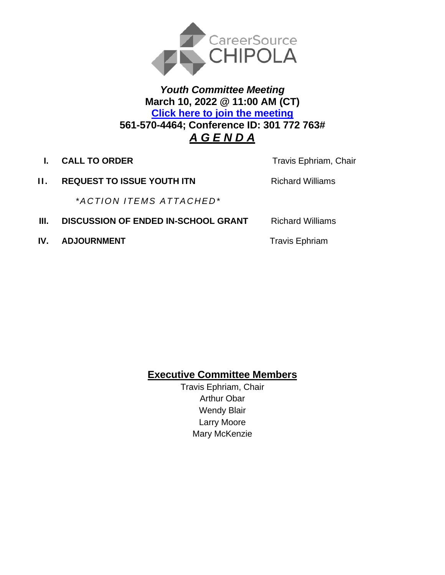

## *Youth Committee Meeting* **March 10, 2022 @ 11:00 AM (CT) [Click here to join the meeting](https://teams.microsoft.com/l/meetup-join/19%3ameeting_NmI2NTNkMjktMWNkMC00MTUyLWE1MzAtZmI1ZmUzNGViOWQ2%40thread.v2/0?context=%7b%22Tid%22%3a%22381e462d-382b-4f05-b17c-e11350250b4b%22%2c%22Oid%22%3a%22ece6f519-14be-447e-9926-70a0c0b015a7%22%7d) 561-570-4464; Conference ID: 301 772 763#**  *A G E N D A*

**I. CALL TO ORDER Travis Ephriam, Chair** 

**II. REQUEST TO ISSUE YOUTH ITN Richard Williams** 

 *\*A CTI O N I TE MS A TTA CHED\**

- **III. DISCUSSION OF ENDED IN-SCHOOL GRANT** Richard Williams
- **IV. ADJOURNMENT Travis Ephriam**

**Executive Committee Members**

Travis Ephriam, Chair Arthur Obar Wendy Blair Larry Moore Mary McKenzie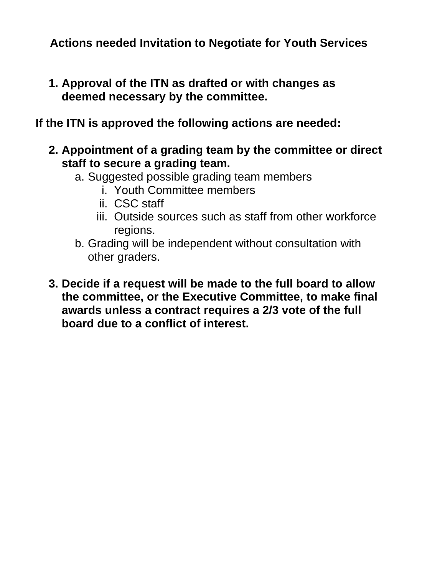**Actions needed Invitation to Negotiate for Youth Services**

**1. Approval of the ITN as drafted or with changes as deemed necessary by the committee.**

## **If the ITN is approved the following actions are needed:**

- **2. Appointment of a grading team by the committee or direct staff to secure a grading team.**
	- a. Suggested possible grading team members
		- i. Youth Committee members
		- ii. CSC staff
		- iii. Outside sources such as staff from other workforce regions.
	- b. Grading will be independent without consultation with other graders.
- **3. Decide if a request will be made to the full board to allow the committee, or the Executive Committee, to make final awards unless a contract requires a 2/3 vote of the full board due to a conflict of interest.**